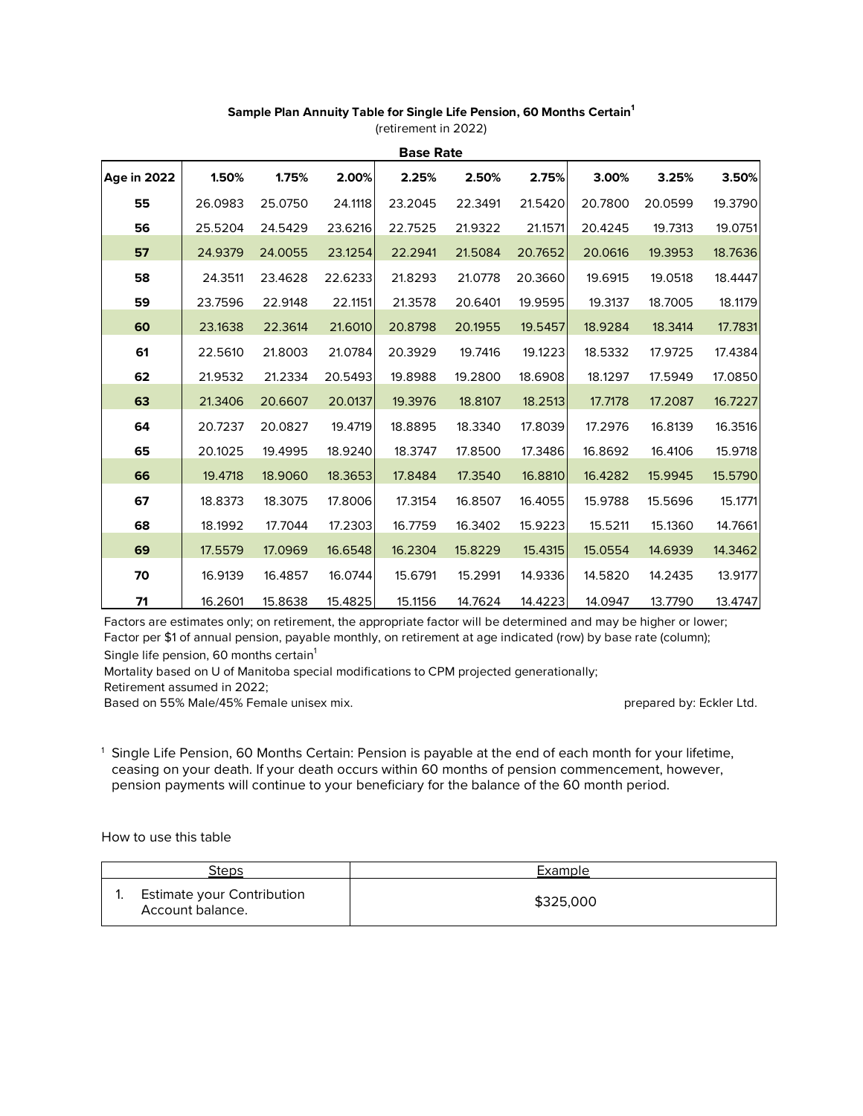## **Sample Plan Annuity Table for Single Life Pension, 60 Months Certain<sup>1</sup>**

| <b>Base Rate</b>   |         |         |         |         |         |         |         |         |         |
|--------------------|---------|---------|---------|---------|---------|---------|---------|---------|---------|
| <b>Age in 2022</b> | 1.50%   | 1.75%   | 2.00%   | 2.25%   | 2.50%   | 2.75%   | 3.00%   | 3.25%   | 3.50%   |
| 55                 | 26.0983 | 25.0750 | 24.1118 | 23.2045 | 22.3491 | 21.5420 | 20.7800 | 20.0599 | 19.3790 |
| 56                 | 25.5204 | 24.5429 | 23.6216 | 22.7525 | 21.9322 | 21.1571 | 20.4245 | 19.7313 | 19.0751 |
| 57                 | 24.9379 | 24.0055 | 23.1254 | 22.2941 | 21.5084 | 20.7652 | 20.0616 | 19.3953 | 18.7636 |
| 58                 | 24.3511 | 23.4628 | 22.6233 | 21.8293 | 21.0778 | 20.3660 | 19.6915 | 19.0518 | 18.4447 |
| 59                 | 23.7596 | 22.9148 | 22.1151 | 21.3578 | 20.6401 | 19.9595 | 19.3137 | 18.7005 | 18.1179 |
| 60                 | 23.1638 | 22.3614 | 21.6010 | 20.8798 | 20.1955 | 19.5457 | 18.9284 | 18.3414 | 17.7831 |
| 61                 | 22.5610 | 21.8003 | 21.0784 | 20.3929 | 19.7416 | 19.1223 | 18.5332 | 17.9725 | 17.4384 |
| 62                 | 21.9532 | 21.2334 | 20.5493 | 19.8988 | 19.2800 | 18.6908 | 18.1297 | 17.5949 | 17.0850 |
| 63                 | 21.3406 | 20.6607 | 20.0137 | 19.3976 | 18.8107 | 18.2513 | 17.7178 | 17.2087 | 16.7227 |
| 64                 | 20.7237 | 20.0827 | 19.4719 | 18.8895 | 18.3340 | 17.8039 | 17.2976 | 16.8139 | 16.3516 |
| 65                 | 20.1025 | 19.4995 | 18.9240 | 18.3747 | 17.8500 | 17.3486 | 16.8692 | 16.4106 | 15.9718 |
| 66                 | 19.4718 | 18.9060 | 18.3653 | 17.8484 | 17.3540 | 16.8810 | 16.4282 | 15.9945 | 15.5790 |
| 67                 | 18.8373 | 18.3075 | 17.8006 | 17.3154 | 16.8507 | 16.4055 | 15.9788 | 15.5696 | 15.1771 |
| 68                 | 18.1992 | 17.7044 | 17.2303 | 16.7759 | 16.3402 | 15.9223 | 15.5211 | 15.1360 | 14.7661 |
| 69                 | 17.5579 | 17.0969 | 16.6548 | 16.2304 | 15.8229 | 15.4315 | 15.0554 | 14.6939 | 14.3462 |
| 70                 | 16.9139 | 16.4857 | 16.0744 | 15.6791 | 15.2991 | 14.9336 | 14.5820 | 14.2435 | 13.9177 |
| 71                 | 16.2601 | 15.8638 | 15.4825 | 15.1156 | 14.7624 | 14.4223 | 14.0947 | 13.7790 | 13.4747 |

(retirement in 2022)

Factors are estimates only; on retirement, the appropriate factor will be determined and may be higher or lower; Factor per \$1 of annual pension, payable monthly, on retirement at age indicated (row) by base rate (column);

Single life pension, 60 months certain<sup>1</sup>

Mortality based on U of Manitoba special modifications to CPM projected generationally;

Retirement assumed in 2022;

Based on 55% Male/45% Female unisex mix. <br> **Based on 55% Male/45% Female unisex mix.** <br> **Based on 55% Male/45% Female unisex mix.** 

<sup>1</sup> Single Life Pension, 60 Months Certain: Pension is payable at the end of each month for your lifetime, ceasing on your death. If your death occurs within 60 months of pension commencement, however, pension payments will continue to your beneficiary for the balance of the 60 month period.

How to use this table

| Steps |                                                       | Example   |  |
|-------|-------------------------------------------------------|-----------|--|
|       | <b>Estimate your Contribution</b><br>Account balance. | \$325,000 |  |